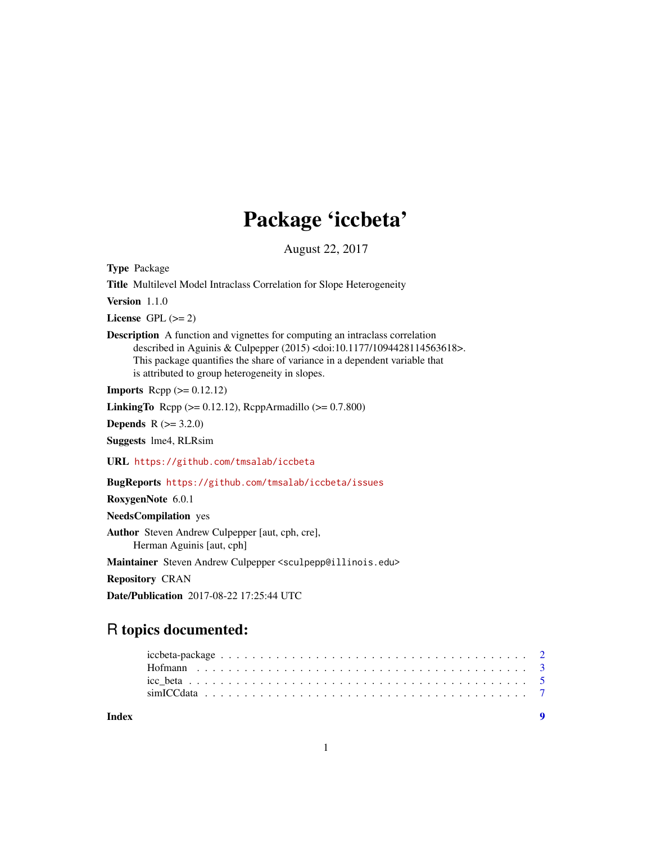## Package 'iccbeta'

August 22, 2017

<span id="page-0-0"></span>Type Package

Title Multilevel Model Intraclass Correlation for Slope Heterogeneity

Version 1.1.0

License GPL  $(>= 2)$ 

Description A function and vignettes for computing an intraclass correlation described in Aguinis & Culpepper (2015) <doi:10.1177/1094428114563618>. This package quantifies the share of variance in a dependent variable that is attributed to group heterogeneity in slopes.

**Imports** Rcpp  $(>= 0.12.12)$ 

**LinkingTo** Rcpp ( $>= 0.12.12$ ), RcppArmadillo ( $>= 0.7.800$ )

**Depends**  $R (= 3.2.0)$ 

Suggests lme4, RLRsim

URL <https://github.com/tmsalab/iccbeta>

BugReports <https://github.com/tmsalab/iccbeta/issues>

RoxygenNote 6.0.1

NeedsCompilation yes

Author Steven Andrew Culpepper [aut, cph, cre], Herman Aguinis [aut, cph]

Maintainer Steven Andrew Culpepper <sculpepp@illinois.edu>

Repository CRAN

Date/Publication 2017-08-22 17:25:44 UTC

### R topics documented:

| Index |  |  |  |  |  |  |  |  |  |  |  |  |  |  |  |  |  |  |
|-------|--|--|--|--|--|--|--|--|--|--|--|--|--|--|--|--|--|--|
|       |  |  |  |  |  |  |  |  |  |  |  |  |  |  |  |  |  |  |
|       |  |  |  |  |  |  |  |  |  |  |  |  |  |  |  |  |  |  |
|       |  |  |  |  |  |  |  |  |  |  |  |  |  |  |  |  |  |  |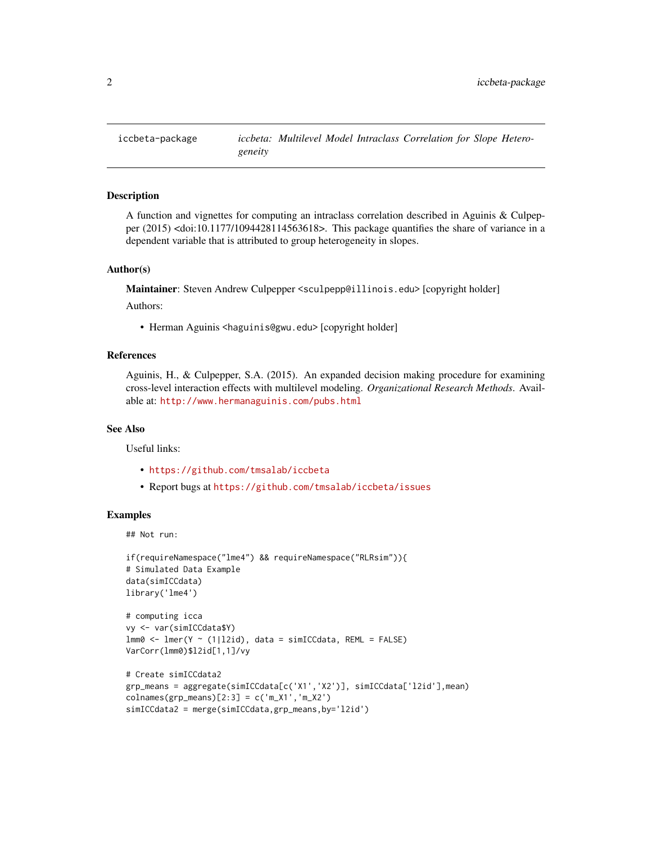<span id="page-1-0"></span>

#### Description

A function and vignettes for computing an intraclass correlation described in Aguinis & Culpepper (2015) <doi:10.1177/1094428114563618>. This package quantifies the share of variance in a dependent variable that is attributed to group heterogeneity in slopes.

#### Author(s)

Maintainer: Steven Andrew Culpepper <sculpepp@illinois.edu> [copyright holder]

#### Authors:

• Herman Aguinis <haguinis@gwu.edu> [copyright holder]

#### References

Aguinis, H., & Culpepper, S.A. (2015). An expanded decision making procedure for examining cross-level interaction effects with multilevel modeling. *Organizational Research Methods*. Available at: <http://www.hermanaguinis.com/pubs.html>

#### See Also

Useful links:

- <https://github.com/tmsalab/iccbeta>
- Report bugs at <https://github.com/tmsalab/iccbeta/issues>

#### Examples

## Not run:

```
if(requireNamespace("lme4") && requireNamespace("RLRsim")){
# Simulated Data Example
data(simICCdata)
library('lme4')
# computing icca
vy <- var(simICCdata$Y)
lmm0 \leq Imm(Y \sim (1|12id), data = simICCdata, REML = FALSE)VarCorr(lmm0)$l2id[1,1]/vy
```

```
# Create simICCdata2
grp_means = aggregate(simICCdata[c('X1','X2')], simICCdata['l2id'],mean)
colnames(grp_means)[2:3] = c('m_X1', 'm_X2')simICCdata2 = merge(simICCdata,grp_means,by='l2id')
```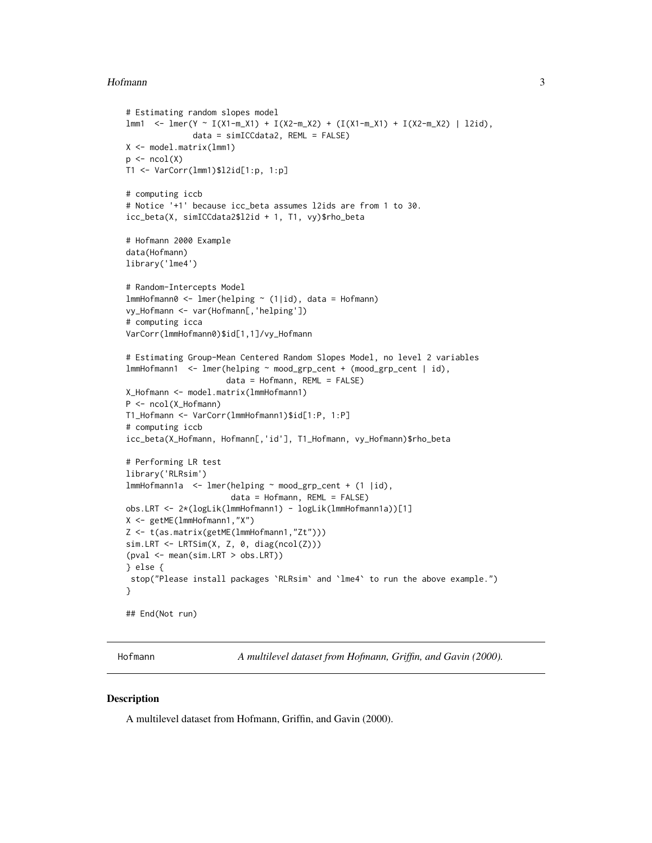#### <span id="page-2-0"></span>Hofmann 3

```
# Estimating random slopes model
lmm1 <- lmer(Y ~ I(X1-m_X1) + I(X2-m_X2) + (I(X1-m_X1) + I(X2-m_X2) | l2id),
              data = simICCdata2, REML = FALSE)
X <- model.matrix(lmm1)
p <- ncol(X)
T1 <- VarCorr(lmm1)$l2id[1:p, 1:p]
# computing iccb
# Notice '+1' because icc_beta assumes l2ids are from 1 to 30.
icc_beta(X, simICCdata2$l2id + 1, T1, vy)$rho_beta
# Hofmann 2000 Example
data(Hofmann)
library('lme4')
# Random-Intercepts Model
lmmHofmann0 <- lmer(helping ~ (1|id), data = Hofmann)
vy_Hofmann <- var(Hofmann[,'helping'])
# computing icca
VarCorr(lmmHofmann0)$id[1,1]/vy_Hofmann
# Estimating Group-Mean Centered Random Slopes Model, no level 2 variables
lmmHofmann1 <- lmer(helping ~ mood_grp_cent + (mood_grp_cent | id),
                     data = Hofmann, REML = FALSE)
X_Hofmann <- model.matrix(lmmHofmann1)
P <- ncol(X_Hofmann)
T1_Hofmann <- VarCorr(lmmHofmann1)$id[1:P, 1:P]
# computing iccb
icc_beta(X_Hofmann, Hofmann[,'id'], T1_Hofmann, vy_Hofmann)$rho_beta
# Performing LR test
library('RLRsim')
lmmHofmann1a <- lmer(helping ~ mood_grp_cent + (1 |id),
                      data = Hofmann, REML = FALSE)
obs.LRT <- 2*(logLik(lmmHofmann1) - logLik(lmmHofmann1a))[1]
X <- getME(lmmHofmann1,"X")
Z <- t(as.matrix(getME(lmmHofmann1,"Zt")))
sim.LRT <- LRTSim(X, Z, 0, diag(ncol(Z)))
(pval <- mean(sim.LRT > obs.LRT))
} else {
 stop("Please install packages `RLRsim` and `lme4` to run the above example.")
}
## End(Not run)
```
<span id="page-2-1"></span>Hofmann *A multilevel dataset from Hofmann, Griffin, and Gavin (2000).*

#### Description

A multilevel dataset from Hofmann, Griffin, and Gavin (2000).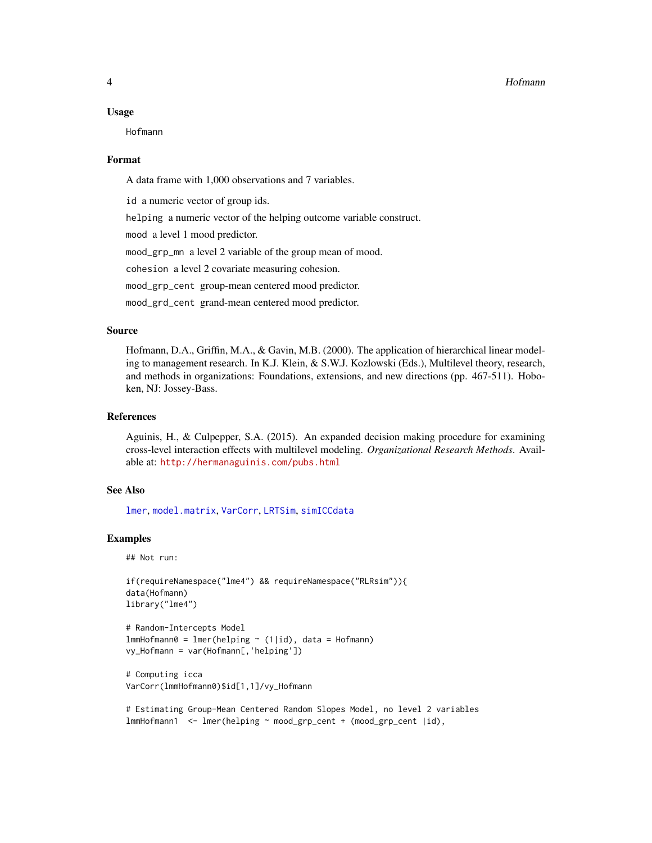#### <span id="page-3-0"></span>Usage

Hofmann

#### Format

A data frame with 1,000 observations and 7 variables.

id a numeric vector of group ids.

helping a numeric vector of the helping outcome variable construct.

mood a level 1 mood predictor.

mood\_grp\_mn a level 2 variable of the group mean of mood.

cohesion a level 2 covariate measuring cohesion.

mood\_grp\_cent group-mean centered mood predictor.

mood\_grd\_cent grand-mean centered mood predictor.

#### Source

Hofmann, D.A., Griffin, M.A., & Gavin, M.B. (2000). The application of hierarchical linear modeling to management research. In K.J. Klein, & S.W.J. Kozlowski (Eds.), Multilevel theory, research, and methods in organizations: Foundations, extensions, and new directions (pp. 467-511). Hoboken, NJ: Jossey-Bass.

#### References

Aguinis, H., & Culpepper, S.A. (2015). An expanded decision making procedure for examining cross-level interaction effects with multilevel modeling. *Organizational Research Methods*. Available at: <http://hermanaguinis.com/pubs.html>

#### See Also

[lmer](#page-0-0), [model.matrix](#page-0-0), [VarCorr](#page-0-0), [LRTSim](#page-0-0), [simICCdata](#page-6-1)

#### Examples

## Not run:

```
if(requireNamespace("lme4") && requireNamespace("RLRsim")){
data(Hofmann)
library("lme4")
```

```
# Random-Intercepts Model
lmmHofmann0 = lmer(helping ~ (1|id), data = Hofmann)
vy_Hofmann = var(Hofmann[,'helping'])
```

```
# Computing icca
VarCorr(lmmHofmann0)$id[1,1]/vy_Hofmann
```

```
# Estimating Group-Mean Centered Random Slopes Model, no level 2 variables
lmmHofmann1 <- lmer(helping ~ mood_grp_cent + (mood_grp_cent |id),
```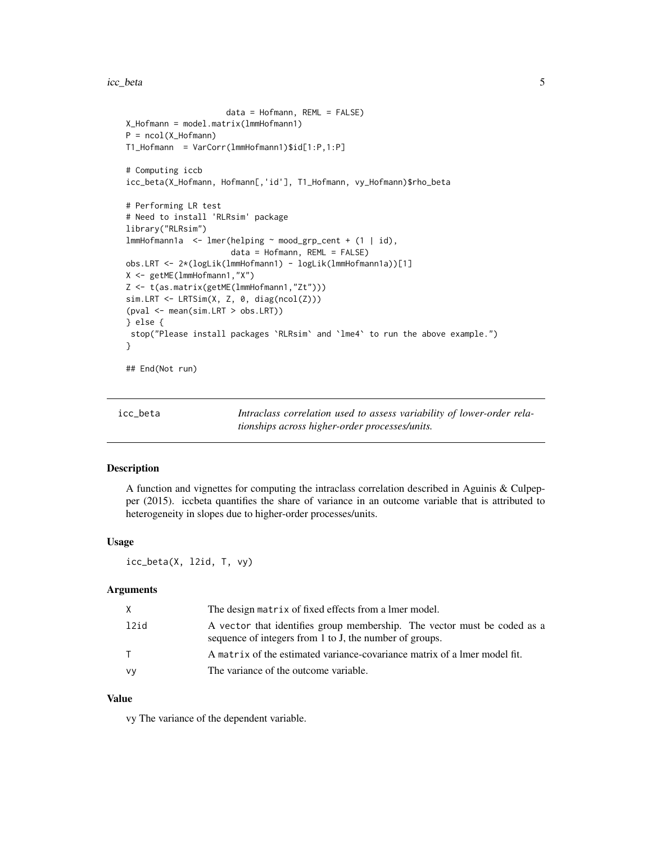<span id="page-4-0"></span>icc\_beta 5

```
data = Hofmann, REML = FALSE)
X_Hofmann = model.matrix(lmmHofmann1)
P = ncol(X_Hofmann)
T1_Hofmann = VarCorr(lmmHofmann1)$id[1:P,1:P]
# Computing iccb
icc_beta(X_Hofmann, Hofmann[,'id'], T1_Hofmann, vy_Hofmann)$rho_beta
# Performing LR test
# Need to install 'RLRsim' package
library("RLRsim")
lmmHofmann1a <- lmer(helping ~ mood_grp_cent + (1 | id),
                      data = Hofmann, REML = FALSE)
obs.LRT <- 2*(logLik(lmmHofmann1) - logLik(lmmHofmann1a))[1]
X <- getME(lmmHofmann1,"X")
Z <- t(as.matrix(getME(lmmHofmann1,"Zt")))
sim.LRT <- LRTSim(X, Z, 0, diag(ncol(Z)))
(pval <- mean(sim.LRT > obs.LRT))
} else {
 stop("Please install packages `RLRsim` and `lme4` to run the above example.")
}
## End(Not run)
```
<span id="page-4-1"></span>icc\_beta *Intraclass correlation used to assess variability of lower-order relationships across higher-order processes/units.*

#### Description

A function and vignettes for computing the intraclass correlation described in Aguinis & Culpepper (2015). iccbeta quantifies the share of variance in an outcome variable that is attributed to heterogeneity in slopes due to higher-order processes/units.

#### Usage

icc\_beta(X, l2id, T, vy)

#### Arguments

| X    | The design matrix of fixed effects from a lmer model.                                                                               |
|------|-------------------------------------------------------------------------------------------------------------------------------------|
| 12id | A vector that identifies group membership. The vector must be coded as a<br>sequence of integers from 1 to J, the number of groups. |
| T.   | A matrix of the estimated variance-covariance matrix of a lmer model fit.                                                           |
| vy   | The variance of the outcome variable.                                                                                               |

#### Value

vy The variance of the dependent variable.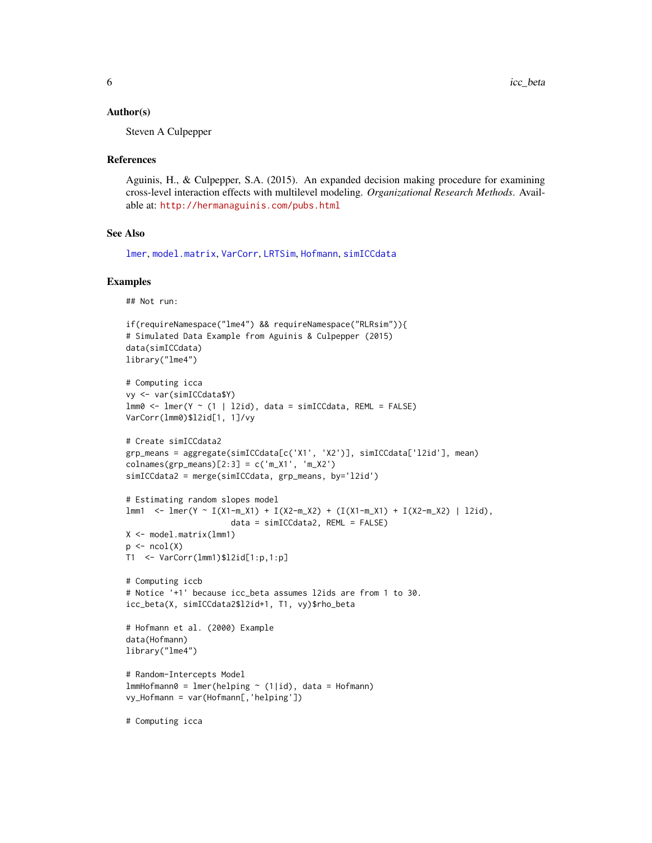#### <span id="page-5-0"></span>Author(s)

Steven A Culpepper

#### References

Aguinis, H., & Culpepper, S.A. (2015). An expanded decision making procedure for examining cross-level interaction effects with multilevel modeling. *Organizational Research Methods*. Available at: <http://hermanaguinis.com/pubs.html>

#### See Also

[lmer](#page-0-0), [model.matrix](#page-0-0), [VarCorr](#page-0-0), [LRTSim](#page-0-0), [Hofmann](#page-2-1), [simICCdata](#page-6-1)

#### Examples

## Not run:

```
if(requireNamespace("lme4") && requireNamespace("RLRsim")){
# Simulated Data Example from Aguinis & Culpepper (2015)
data(simICCdata)
library("lme4")
# Computing icca
vy <- var(simICCdata$Y)
lmm0 \leq lmmpc (1 | 12id), data = simICCdata, REML = FALSE)
VarCorr(lmm0)$l2id[1, 1]/vy
# Create simICCdata2
grp_means = aggregate(simICCdata[c('X1', 'X2')], simICCdata['l2id'], mean)
colnames(grp_means)[2:3] = c('m_X1', 'm_X2')simICCdata2 = merge(simICCdata, grp_means, by='l2id')
# Estimating random slopes model
lmm1 < -lmc(Y - I(X1-m_X1) + I(X2-m_X2) + (I(X1-m_X1) + I(X2-m_X2) + I(Zm_X2)) | 12id),
                      data = simICCdata2, REML = FALSE)
X <- model.matrix(lmm1)
p \leftarrow \text{ncol}(X)T1 <- VarCorr(lmm1)$l2id[1:p,1:p]
# Computing iccb
# Notice '+1' because icc_beta assumes l2ids are from 1 to 30.
icc_beta(X, simICCdata2$l2id+1, T1, vy)$rho_beta
# Hofmann et al. (2000) Example
data(Hofmann)
library("lme4")
# Random-Intercepts Model
lmmHofmann0 = Imer(helping ~ (1|id), data = Hofmann)
vy_Hofmann = var(Hofmann[,'helping'])
```
# Computing icca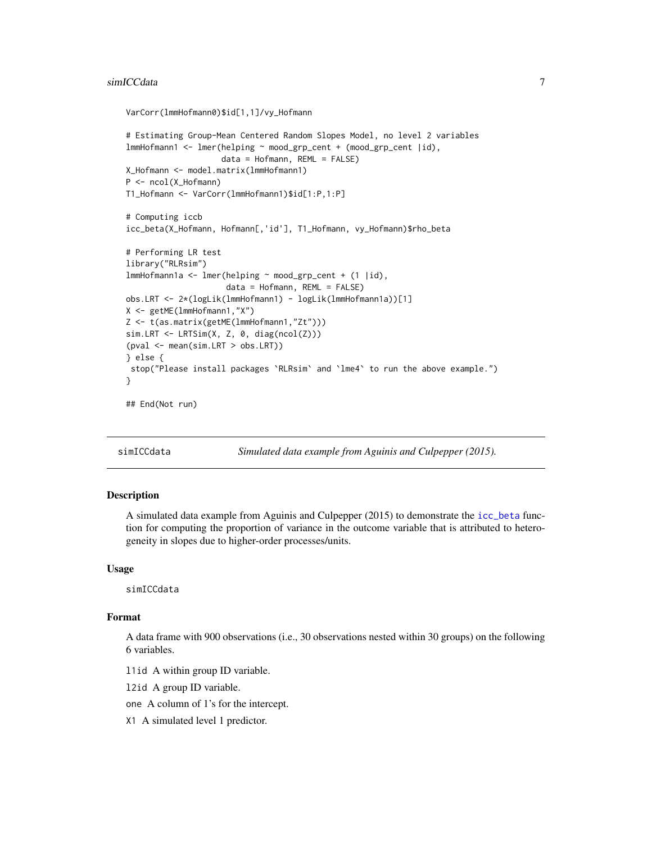#### <span id="page-6-0"></span>simICCdata 7

```
VarCorr(lmmHofmann0)$id[1,1]/vy_Hofmann
# Estimating Group-Mean Centered Random Slopes Model, no level 2 variables
lmmHofmann1 <- lmer(helping ~ mood_grp_cent + (mood_grp_cent |id),
                    data = Hofmann, REML = FALSE)
X_Hofmann <- model.matrix(lmmHofmann1)
P <- ncol(X_Hofmann)
T1_Hofmann <- VarCorr(lmmHofmann1)$id[1:P,1:P]
# Computing iccb
icc_beta(X_Hofmann, Hofmann[,'id'], T1_Hofmann, vy_Hofmann)$rho_beta
# Performing LR test
library("RLRsim")
lmmHofmann1a <- lmer(helping ~ mood_grp_cent + (1 |id),
                     data = Hofmann, REML = FALSE)
obs.LRT <- 2*(logLik(lmmHofmann1) - logLik(lmmHofmann1a))[1]
X <- getME(lmmHofmann1,"X")
Z <- t(as.matrix(getME(lmmHofmann1,"Zt")))
sim.LRT <- LRTSim(X, Z, 0, diag(ncol(Z)))(pval <- mean(sim.LRT > obs.LRT))
} else {
stop("Please install packages `RLRsim` and `lme4` to run the above example.")
}
## End(Not run)
```
<span id="page-6-1"></span>

simICCdata *Simulated data example from Aguinis and Culpepper (2015).*

#### Description

A simulated data example from Aguinis and Culpepper (2015) to demonstrate the [icc\\_beta](#page-4-1) function for computing the proportion of variance in the outcome variable that is attributed to heterogeneity in slopes due to higher-order processes/units.

#### Usage

simICCdata

#### Format

A data frame with 900 observations (i.e., 30 observations nested within 30 groups) on the following 6 variables.

l1id A within group ID variable.

l2id A group ID variable.

one A column of 1's for the intercept.

X1 A simulated level 1 predictor.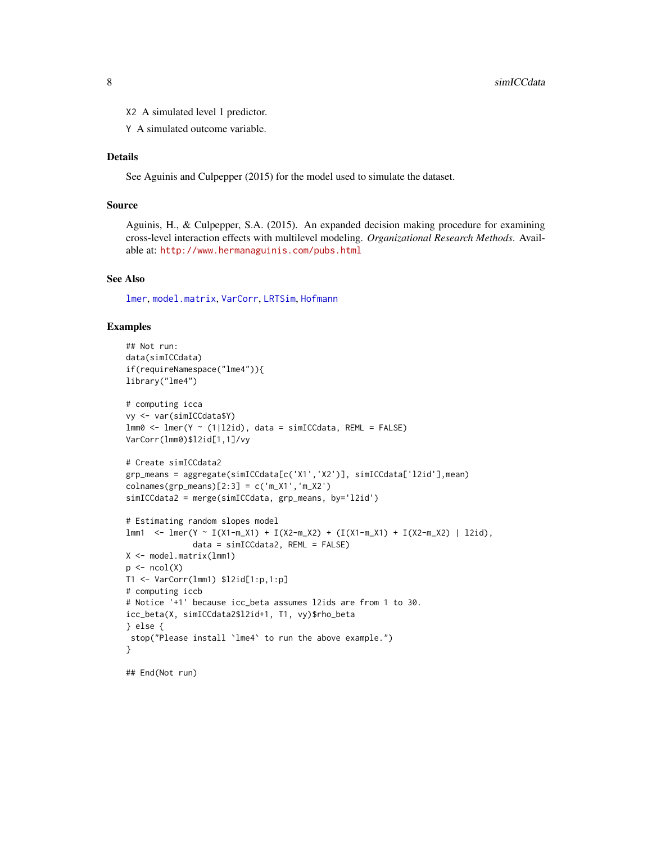<span id="page-7-0"></span>X2 A simulated level 1 predictor.

Y A simulated outcome variable.

#### Details

See Aguinis and Culpepper (2015) for the model used to simulate the dataset.

#### Source

Aguinis, H., & Culpepper, S.A. (2015). An expanded decision making procedure for examining cross-level interaction effects with multilevel modeling. *Organizational Research Methods*. Available at: <http://www.hermanaguinis.com/pubs.html>

#### See Also

[lmer](#page-0-0), [model.matrix](#page-0-0), [VarCorr](#page-0-0), [LRTSim](#page-0-0), [Hofmann](#page-2-1)

#### Examples

```
## Not run:
data(simICCdata)
if(requireNamespace("lme4")){
library("lme4")
# computing icca
vy <- var(simICCdata$Y)
lmm0 \leftarrow lmer(Y \sim (1|12id), data = simICCdata, REML = FALSE)VarCorr(lmm0)$l2id[1,1]/vy
# Create simICCdata2
grp_means = aggregate(simICCdata[c('X1','X2')], simICCdata['l2id'],mean)
colnames(grp_means)[2:3] = c('m_X1','m_X2')
simICCdata2 = merge(simICCdata, grp_means, by='l2id')
# Estimating random slopes model
lmm1 <- lmer(Y ~ I(X1-m_X1) + I(X2-m_X2) + (I(X1-m_X1) + I(X2-m_X2) | l2id),
              data = simICCdata2, REML = FALSE)
X <- model.matrix(lmm1)
p \leftarrow \text{ncol}(X)T1 <- VarCorr(lmm1) $l2id[1:p,1:p]
# computing iccb
# Notice '+1' because icc_beta assumes l2ids are from 1 to 30.
icc_beta(X, simICCdata2$l2id+1, T1, vy)$rho_beta
} else {
stop("Please install `lme4` to run the above example.")
}
```
## End(Not run)